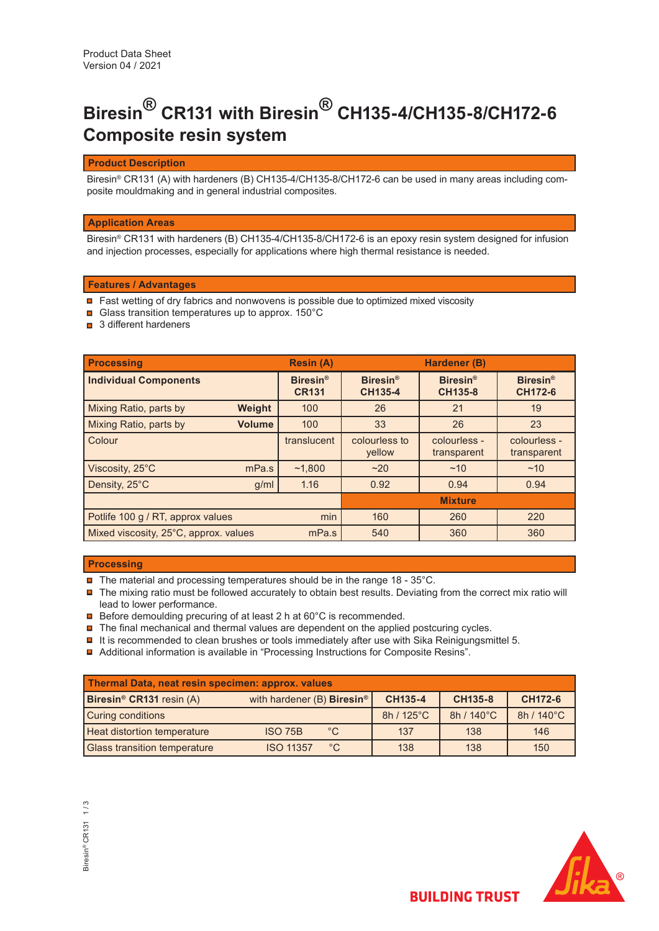# **Biresin® CR131 with Biresin® CH135-4/CH135-8/CH172-6 Composite resin system**

## **Product Description**

Biresin® CR131 (A) with hardeners (B) CH135-4/CH135-8/CH172-6 can be used in many areas including composite mouldmaking and in general industrial composites.

## **Application Areas**

Biresin® CR131 with hardeners (B) CH135-4/CH135-8/CH172-6 is an epoxy resin system designed for infusion and injection processes, especially for applications where high thermal resistance is needed.

## **Features / Advantages**

- Fast wetting of dry fabrics and nonwovens is possible due to optimized mixed viscosity
- Glass transition temperatures up to approx. 150°C
- **□** 3 different hardeners

| <b>Processing</b>                        | <b>Resin (A)</b>                |                            | Hardener (B)                |                                   |
|------------------------------------------|---------------------------------|----------------------------|-----------------------------|-----------------------------------|
| <b>Individual Components</b>             | <b>Biresin®</b><br><b>CR131</b> | <b>Biresin®</b><br>CH135-4 | <b>Biresin®</b><br>CH135-8  | <b>Biresin®</b><br><b>CH172-6</b> |
| Weight<br>Mixing Ratio, parts by         | 100                             | 26                         | 21                          | 19                                |
| Mixing Ratio, parts by<br><b>Volume</b>  | 100                             | 33                         | 26                          | 23                                |
| Colour                                   | translucent                     | colourless to<br>yellow    | colourless -<br>transparent | colourless -<br>transparent       |
| Viscosity, 25°C<br>mPa.s                 | ~1.800                          | ~20                        | ~10                         | ~10                               |
| Density, 25°C<br>g/ml                    | 1.16                            | 0.92                       | 0.94                        | 0.94                              |
|                                          |                                 |                            | <b>Mixture</b>              |                                   |
| min<br>Potlife 100 g / RT, approx values |                                 | 160                        | 260                         | 220                               |
| Mixed viscosity, 25°C, approx. values    | mPa.s                           | 540                        | 360                         | 360                               |

#### **Processing**

- $\blacksquare$  The material and processing temperatures should be in the range 18 35°C.
- The mixing ratio must be followed accurately to obtain best results. Deviating from the correct mix ratio will lead to lower performance.
- **□** Before demoulding precuring of at least 2 h at 60°C is recommended.
- $\blacksquare$  The final mechanical and thermal values are dependent on the applied postcuring cycles.
- $\blacksquare$  It is recommended to clean brushes or tools immediately after use with Sika Reinigungsmittel 5.
- Additional information is available in "Processing Instructions for Composite Resins".

| Thermal Data, neat resin specimen: approx. values |                                              |              |                |                |            |
|---------------------------------------------------|----------------------------------------------|--------------|----------------|----------------|------------|
| Biresin <sup>®</sup> CR131 resin (A)              | with hardener (B) <b>Biresin<sup>®</sup></b> |              | <b>CH135-4</b> | <b>CH135-8</b> | CH172-6    |
| <b>Curing conditions</b>                          |                                              |              | 8h / 125°C     | 8h / 140°C     | 8h / 140°C |
| <b>Heat distortion temperature</b>                | <b>ISO 75B</b>                               | $^{\circ}$ C | 137            | 138            | 146        |
| <b>Glass transition temperature</b>               | <b>ISO 11357</b>                             | $^{\circ}$ C | 138            | 138            | 150        |



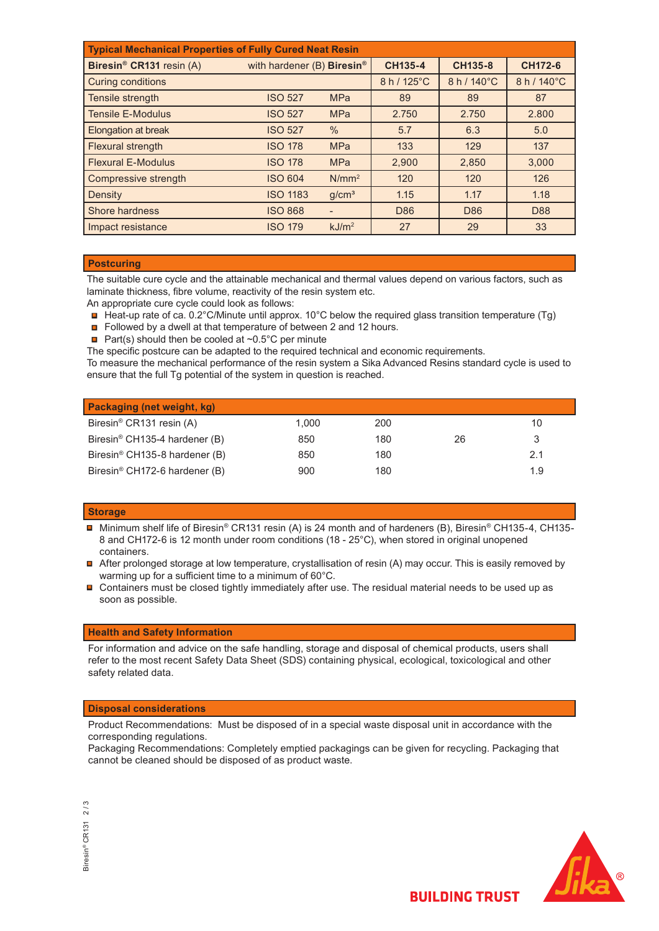| <b>Typical Mechanical Properties of Fully Cured Neat Resin</b> |                                        |                   |             |                 |                |  |
|----------------------------------------------------------------|----------------------------------------|-------------------|-------------|-----------------|----------------|--|
| Biresin <sup>®</sup> CR131 resin (A)                           | with hardener (B) Biresin <sup>®</sup> |                   | CH135-4     | CH135-8         | <b>CH172-6</b> |  |
| <b>Curing conditions</b>                                       |                                        |                   | 8 h / 125°C | 8 h / 140°C     | 8 h / 140°C    |  |
| Tensile strength                                               | <b>ISO 527</b>                         | <b>MPa</b>        | 89          | 89              | 87             |  |
| <b>Tensile E-Modulus</b>                                       | <b>ISO 527</b>                         | <b>MPa</b>        | 2.750       | 2.750           | 2.800          |  |
| <b>Elongation at break</b>                                     | <b>ISO 527</b>                         | $\frac{0}{0}$     | 5.7         | 6.3             | 5.0            |  |
| Flexural strength                                              | <b>ISO 178</b>                         | <b>MPa</b>        | 133         | 129             | 137            |  |
| <b>Flexural E-Modulus</b>                                      | <b>ISO 178</b>                         | <b>MPa</b>        | 2,900       | 2,850           | 3,000          |  |
| Compressive strength                                           | <b>ISO 604</b>                         | $N/mm^2$          | 120         | 120             | 126            |  |
| Density                                                        | <b>ISO 1183</b>                        | g/cm <sup>3</sup> | 1.15        | 1.17            | 1.18           |  |
| Shore hardness                                                 | <b>ISO 868</b>                         |                   | D86         | D <sub>86</sub> | D88            |  |
| Impact resistance                                              | <b>ISO 179</b>                         | kJ/m <sup>2</sup> | 27          | 29              | 33             |  |

## **Postcuring**

The suitable cure cycle and the attainable mechanical and thermal values depend on various factors, such as laminate thickness, fibre volume, reactivity of the resin system etc.

An appropriate cure cycle could look as follows:

- Heat-up rate of ca. 0.2°C/Minute until approx. 10°C below the required glass transition temperature (Tg)
- Followed by a dwell at that temperature of between 2 and 12 hours.
- **Part(s)** should then be cooled at  $\sim 0.5^{\circ}$ C per minute

The specific postcure can be adapted to the required technical and economic requirements.

To measure the mechanical performance of the resin system a Sika Advanced Resins standard cycle is used to ensure that the full Tg potential of the system in question is reached.

| Packaging (net weight, kg)                |       |     |    |     |
|-------------------------------------------|-------|-----|----|-----|
| Biresin <sup>®</sup> CR131 resin (A)      | 1.000 | 200 |    | 10  |
| Biresin® CH135-4 hardener (B)             | 850   | 180 | 26 |     |
| Biresin <sup>®</sup> CH135-8 hardener (B) | 850   | 180 |    | 2.1 |
| Biresin <sup>®</sup> CH172-6 hardener (B) | 900   | 180 |    | 1.9 |

#### **Storage**

- Minimum shelf life of Biresin® CR131 resin (A) is 24 month and of hardeners (B), Biresin® CH135-4, CH135- 8 and CH172-6 is 12 month under room conditions (18 - 25°C), when stored in original unopened containers.
- After prolonged storage at low temperature, crystallisation of resin (A) may occur. This is easily removed by warming up for a sufficient time to a minimum of 60°C.
- Containers must be closed tightly immediately after use. The residual material needs to be used up as soon as possible.

#### **Health and Safety Information**

For information and advice on the safe handling, storage and disposal of chemical products, users shall refer to the most recent Safety Data Sheet (SDS) containing physical, ecological, toxicological and other safety related data.

## **Disposal considerations**

Product Recommendations: Must be disposed of in a special waste disposal unit in accordance with the corresponding regulations.

Packaging Recommendations: Completely emptied packagings can be given for recycling. Packaging that cannot be cleaned should be disposed of as product waste.